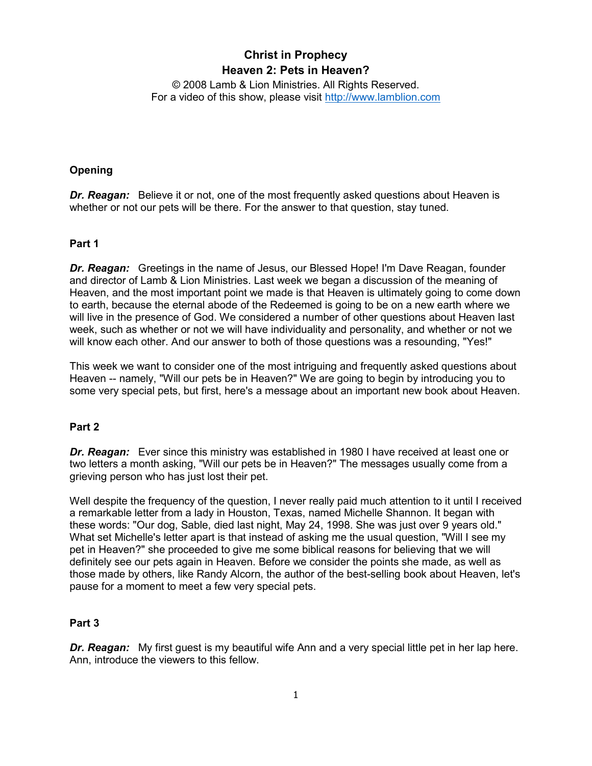# **Christ in Prophecy Heaven 2: Pets in Heaven?**

© 2008 Lamb & Lion Ministries. All Rights Reserved. For a video of this show, please visit [http://www.lamblion.com](http://www.lamblion.com/)

# **Opening**

**Dr. Reagan:** Believe it or not, one of the most frequently asked questions about Heaven is whether or not our pets will be there. For the answer to that question, stay tuned.

# **Part 1**

*Dr. Reagan:* Greetings in the name of Jesus, our Blessed Hope! I'm Dave Reagan, founder and director of Lamb & Lion Ministries. Last week we began a discussion of the meaning of Heaven, and the most important point we made is that Heaven is ultimately going to come down to earth, because the eternal abode of the Redeemed is going to be on a new earth where we will live in the presence of God. We considered a number of other questions about Heaven last week, such as whether or not we will have individuality and personality, and whether or not we will know each other. And our answer to both of those questions was a resounding, "Yes!"

This week we want to consider one of the most intriguing and frequently asked questions about Heaven -- namely, "Will our pets be in Heaven?" We are going to begin by introducing you to some very special pets, but first, here's a message about an important new book about Heaven.

# **Part 2**

*Dr. Reagan:* Ever since this ministry was established in 1980 I have received at least one or two letters a month asking, "Will our pets be in Heaven?" The messages usually come from a grieving person who has just lost their pet.

Well despite the frequency of the question, I never really paid much attention to it until I received a remarkable letter from a lady in Houston, Texas, named Michelle Shannon. It began with these words: "Our dog, Sable, died last night, May 24, 1998. She was just over 9 years old." What set Michelle's letter apart is that instead of asking me the usual question, "Will I see my pet in Heaven?" she proceeded to give me some biblical reasons for believing that we will definitely see our pets again in Heaven. Before we consider the points she made, as well as those made by others, like Randy Alcorn, the author of the best-selling book about Heaven, let's pause for a moment to meet a few very special pets.

# **Part 3**

*Dr. Reagan:* My first guest is my beautiful wife Ann and a very special little pet in her lap here. Ann, introduce the viewers to this fellow.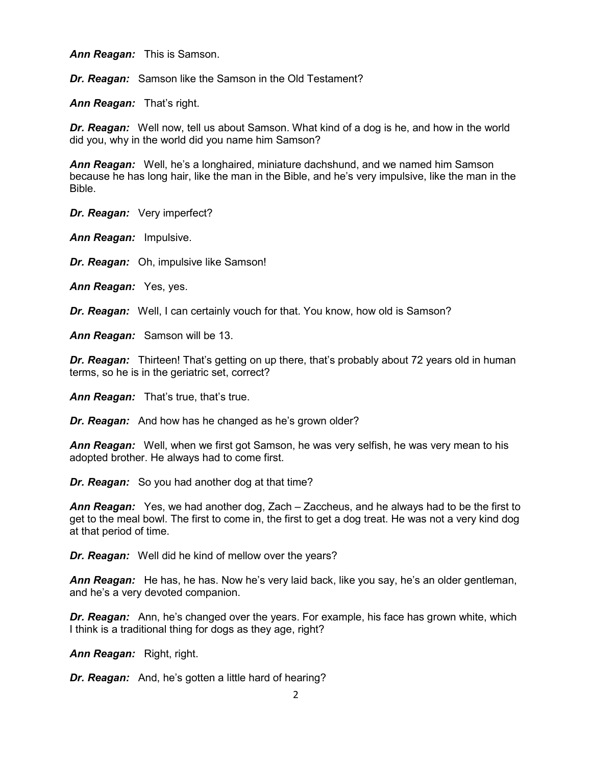*Ann Reagan:* This is Samson.

*Dr. Reagan:* Samson like the Samson in the Old Testament?

*Ann Reagan:* That's right.

*Dr. Reagan:* Well now, tell us about Samson. What kind of a dog is he, and how in the world did you, why in the world did you name him Samson?

*Ann Reagan:* Well, he's a longhaired, miniature dachshund, and we named him Samson because he has long hair, like the man in the Bible, and he's very impulsive, like the man in the Bible.

*Dr. Reagan:* Very imperfect?

*Ann Reagan:* Impulsive.

*Dr. Reagan:* Oh, impulsive like Samson!

*Ann Reagan:* Yes, yes.

*Dr. Reagan:* Well, I can certainly vouch for that. You know, how old is Samson?

*Ann Reagan:* Samson will be 13.

**Dr. Reagan:** Thirteen! That's getting on up there, that's probably about 72 years old in human terms, so he is in the geriatric set, correct?

*Ann Reagan:* That's true, that's true.

*Dr. Reagan:* And how has he changed as he's grown older?

*Ann Reagan:* Well, when we first got Samson, he was very selfish, he was very mean to his adopted brother. He always had to come first.

*Dr. Reagan:* So you had another dog at that time?

*Ann Reagan:* Yes, we had another dog, Zach – Zaccheus, and he always had to be the first to get to the meal bowl. The first to come in, the first to get a dog treat. He was not a very kind dog at that period of time.

*Dr. Reagan:* Well did he kind of mellow over the years?

*Ann Reagan:* He has, he has. Now he's very laid back, like you say, he's an older gentleman, and he's a very devoted companion.

*Dr. Reagan:* Ann, he's changed over the years. For example, his face has grown white, which I think is a traditional thing for dogs as they age, right?

*Ann Reagan:* Right, right.

*Dr. Reagan:* And, he's gotten a little hard of hearing?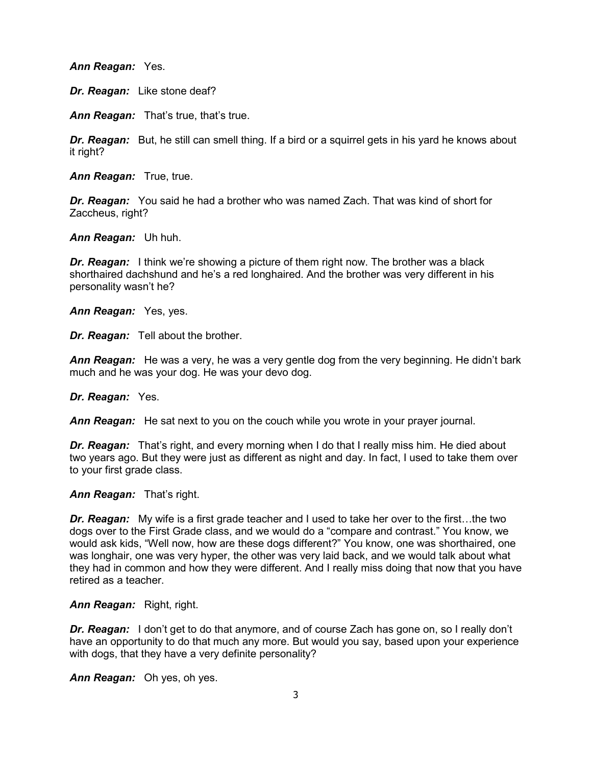*Ann Reagan:* Yes.

*Dr. Reagan:* Like stone deaf?

*Ann Reagan:* That's true, that's true.

*Dr. Reagan:* But, he still can smell thing. If a bird or a squirrel gets in his yard he knows about it right?

*Ann Reagan:* True, true.

*Dr. Reagan:* You said he had a brother who was named Zach. That was kind of short for Zaccheus, right?

*Ann Reagan:* Uh huh.

*Dr. Reagan:* I think we're showing a picture of them right now. The brother was a black shorthaired dachshund and he's a red longhaired. And the brother was very different in his personality wasn't he?

*Ann Reagan:* Yes, yes.

*Dr. Reagan:* Tell about the brother.

*Ann Reagan:* He was a very, he was a very gentle dog from the very beginning. He didn't bark much and he was your dog. He was your devo dog.

*Dr. Reagan:* Yes.

*Ann Reagan:* He sat next to you on the couch while you wrote in your prayer journal.

*Dr. Reagan:* That's right, and every morning when I do that I really miss him. He died about two years ago. But they were just as different as night and day. In fact, I used to take them over to your first grade class.

*Ann Reagan:* That's right.

*Dr. Reagan:* My wife is a first grade teacher and I used to take her over to the first…the two dogs over to the First Grade class, and we would do a "compare and contrast." You know, we would ask kids, "Well now, how are these dogs different?" You know, one was shorthaired, one was longhair, one was very hyper, the other was very laid back, and we would talk about what they had in common and how they were different. And I really miss doing that now that you have retired as a teacher.

*Ann Reagan:* Right, right.

*Dr. Reagan:* I don't get to do that anymore, and of course Zach has gone on, so I really don't have an opportunity to do that much any more. But would you say, based upon your experience with dogs, that they have a very definite personality?

*Ann Reagan:* Oh yes, oh yes.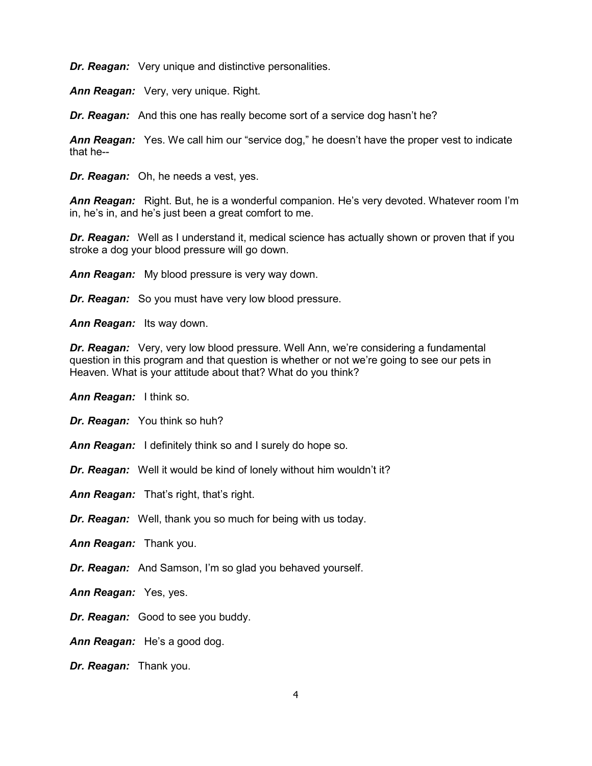*Dr. Reagan:* Very unique and distinctive personalities.

*Ann Reagan:* Very, very unique. Right.

*Dr. Reagan:* And this one has really become sort of a service dog hasn't he?

*Ann Reagan:* Yes. We call him our "service dog," he doesn't have the proper vest to indicate that he--

*Dr. Reagan:* Oh, he needs a vest, yes.

*Ann Reagan:* Right. But, he is a wonderful companion. He's very devoted. Whatever room I'm in, he's in, and he's just been a great comfort to me.

*Dr. Reagan:* Well as I understand it, medical science has actually shown or proven that if you stroke a dog your blood pressure will go down.

*Ann Reagan:* My blood pressure is very way down.

*Dr. Reagan:* So you must have very low blood pressure.

*Ann Reagan:* Its way down.

*Dr. Reagan:* Very, very low blood pressure. Well Ann, we're considering a fundamental question in this program and that question is whether or not we're going to see our pets in Heaven. What is your attitude about that? What do you think?

*Ann Reagan:* I think so.

*Dr. Reagan:* You think so huh?

*Ann Reagan:* I definitely think so and I surely do hope so.

*Dr. Reagan:* Well it would be kind of lonely without him wouldn't it?

*Ann Reagan:* That's right, that's right.

*Dr. Reagan:* Well, thank you so much for being with us today.

*Ann Reagan:* Thank you.

*Dr. Reagan:* And Samson, I'm so glad you behaved yourself.

*Ann Reagan:* Yes, yes.

*Dr. Reagan:* Good to see you buddy.

*Ann Reagan:* He's a good dog.

*Dr. Reagan:* Thank you.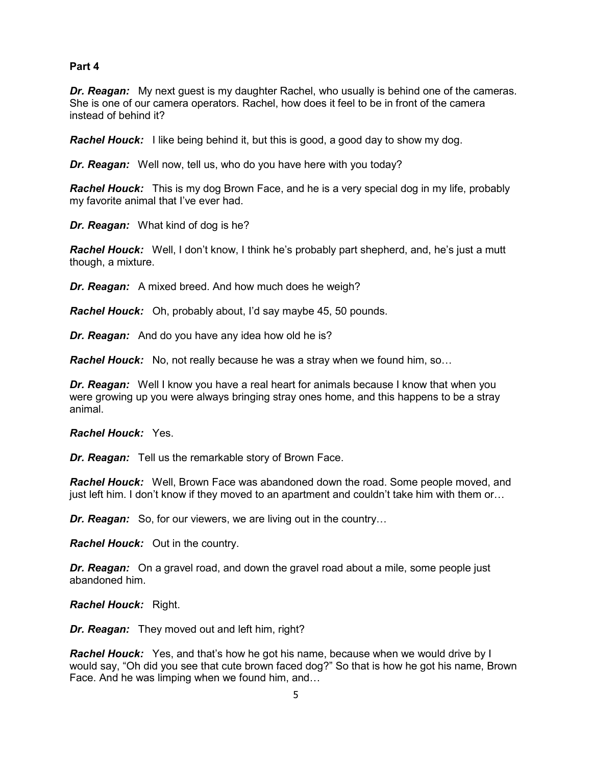# **Part 4**

*Dr. Reagan:* My next guest is my daughter Rachel, who usually is behind one of the cameras. She is one of our camera operators. Rachel, how does it feel to be in front of the camera instead of behind it?

*Rachel Houck:* I like being behind it, but this is good, a good day to show my dog.

*Dr. Reagan:* Well now, tell us, who do you have here with you today?

*Rachel Houck:* This is my dog Brown Face, and he is a very special dog in my life, probably my favorite animal that I've ever had.

*Dr. Reagan:* What kind of dog is he?

*Rachel Houck:* Well, I don't know, I think he's probably part shepherd, and, he's just a mutt though, a mixture.

*Dr. Reagan:* A mixed breed. And how much does he weigh?

*Rachel Houck:* Oh, probably about, I'd say maybe 45, 50 pounds.

*Dr. Reagan:* And do you have any idea how old he is?

*Rachel Houck:* No, not really because he was a stray when we found him, so…

*Dr. Reagan:* Well I know you have a real heart for animals because I know that when you were growing up you were always bringing stray ones home, and this happens to be a stray animal.

*Rachel Houck:* Yes.

*Dr. Reagan:* Tell us the remarkable story of Brown Face.

*Rachel Houck:* Well, Brown Face was abandoned down the road. Some people moved, and just left him. I don't know if they moved to an apartment and couldn't take him with them or…

*Dr. Reagan:* So, for our viewers, we are living out in the country…

*Rachel Houck:* Out in the country.

*Dr. Reagan:* On a gravel road, and down the gravel road about a mile, some people just abandoned him.

*Rachel Houck:* Right.

*Dr. Reagan:* They moved out and left him, right?

*Rachel Houck:* Yes, and that's how he got his name, because when we would drive by I would say, "Oh did you see that cute brown faced dog?" So that is how he got his name, Brown Face. And he was limping when we found him, and…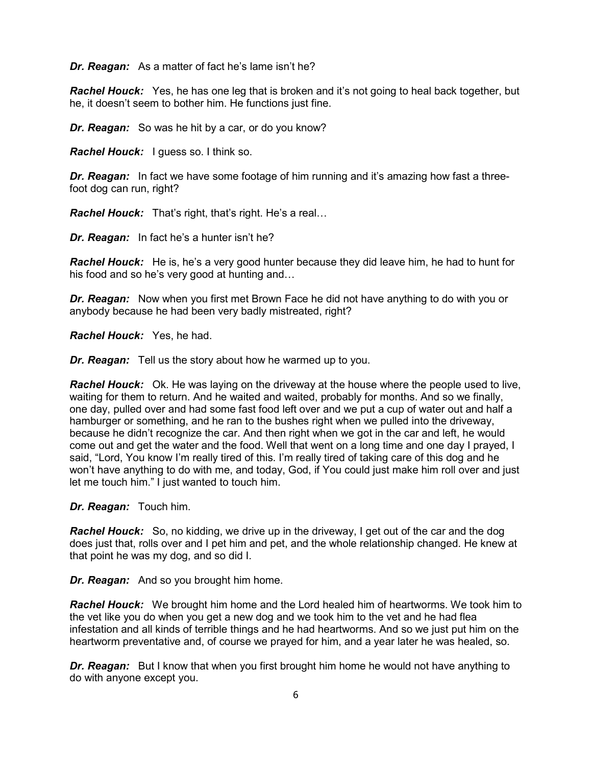*Dr. Reagan:* As a matter of fact he's lame isn't he?

**Rachel Houck:** Yes, he has one leg that is broken and it's not going to heal back together, but he, it doesn't seem to bother him. He functions just fine.

*Dr. Reagan:* So was he hit by a car, or do you know?

*Rachel Houck:* I guess so. I think so.

*Dr. Reagan:* In fact we have some footage of him running and it's amazing how fast a threefoot dog can run, right?

*Rachel Houck:* That's right, that's right. He's a real…

*Dr. Reagan:* In fact he's a hunter isn't he?

*Rachel Houck:* He is, he's a very good hunter because they did leave him, he had to hunt for his food and so he's very good at hunting and…

*Dr. Reagan:* Now when you first met Brown Face he did not have anything to do with you or anybody because he had been very badly mistreated, right?

*Rachel Houck:* Yes, he had.

*Dr. Reagan:* Tell us the story about how he warmed up to you.

*Rachel Houck:* Ok. He was laying on the driveway at the house where the people used to live, waiting for them to return. And he waited and waited, probably for months. And so we finally, one day, pulled over and had some fast food left over and we put a cup of water out and half a hamburger or something, and he ran to the bushes right when we pulled into the driveway, because he didn't recognize the car. And then right when we got in the car and left, he would come out and get the water and the food. Well that went on a long time and one day I prayed, I said, "Lord, You know I'm really tired of this. I'm really tired of taking care of this dog and he won't have anything to do with me, and today, God, if You could just make him roll over and just let me touch him." I just wanted to touch him.

*Dr. Reagan:* Touch him.

*Rachel Houck:* So, no kidding, we drive up in the driveway, I get out of the car and the dog does just that, rolls over and I pet him and pet, and the whole relationship changed. He knew at that point he was my dog, and so did I.

*Dr. Reagan:* And so you brought him home.

*Rachel Houck:* We brought him home and the Lord healed him of heartworms. We took him to the vet like you do when you get a new dog and we took him to the vet and he had flea infestation and all kinds of terrible things and he had heartworms. And so we just put him on the heartworm preventative and, of course we prayed for him, and a year later he was healed, so.

**Dr. Reagan:** But I know that when you first brought him home he would not have anything to do with anyone except you.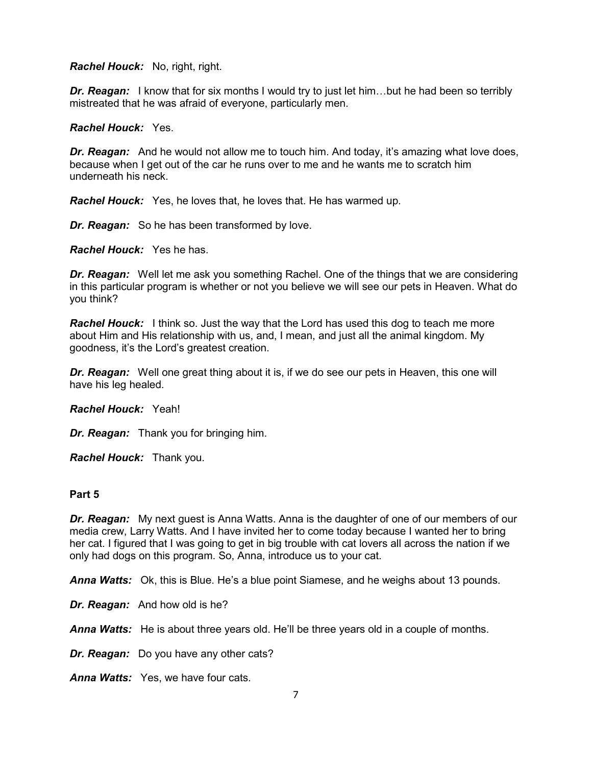#### *Rachel Houck:* No, right, right.

**Dr. Reagan:** I know that for six months I would try to just let him...but he had been so terribly mistreated that he was afraid of everyone, particularly men.

#### *Rachel Houck:* Yes.

*Dr. Reagan:* And he would not allow me to touch him. And today, it's amazing what love does, because when I get out of the car he runs over to me and he wants me to scratch him underneath his neck.

*Rachel Houck:* Yes, he loves that, he loves that. He has warmed up.

*Dr. Reagan:* So he has been transformed by love.

*Rachel Houck:* Yes he has.

*Dr. Reagan:* Well let me ask you something Rachel. One of the things that we are considering in this particular program is whether or not you believe we will see our pets in Heaven. What do you think?

*Rachel Houck:* I think so. Just the way that the Lord has used this dog to teach me more about Him and His relationship with us, and, I mean, and just all the animal kingdom. My goodness, it's the Lord's greatest creation.

**Dr. Reagan:** Well one great thing about it is, if we do see our pets in Heaven, this one will have his leg healed.

#### *Rachel Houck:* Yeah!

*Dr. Reagan:* Thank you for bringing him.

*Rachel Houck:* Thank you.

# **Part 5**

*Dr. Reagan:* My next guest is Anna Watts. Anna is the daughter of one of our members of our media crew, Larry Watts. And I have invited her to come today because I wanted her to bring her cat. I figured that I was going to get in big trouble with cat lovers all across the nation if we only had dogs on this program. So, Anna, introduce us to your cat.

*Anna Watts:* Ok, this is Blue. He's a blue point Siamese, and he weighs about 13 pounds.

*Dr. Reagan:* And how old is he?

*Anna Watts:* He is about three years old. He'll be three years old in a couple of months.

*Dr. Reagan:* Do you have any other cats?

*Anna Watts:* Yes, we have four cats.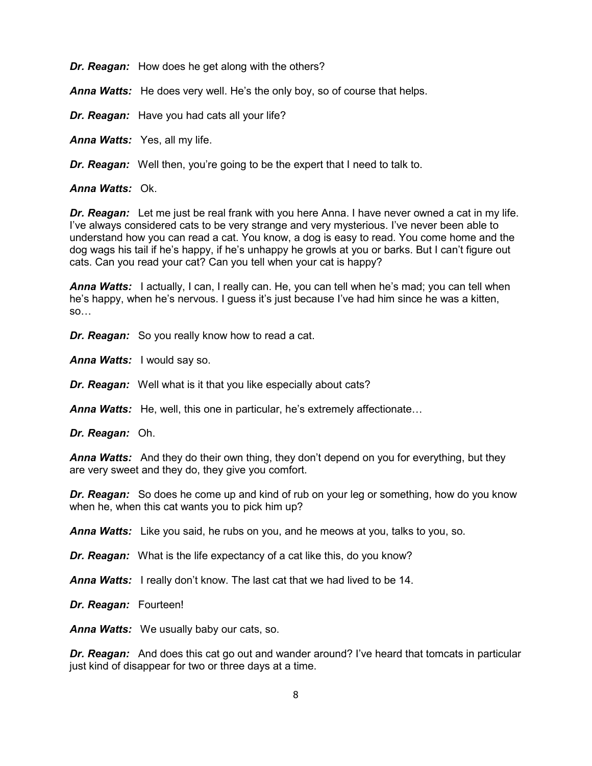*Dr. Reagan:* How does he get along with the others?

*Anna Watts:* He does very well. He's the only boy, so of course that helps.

*Dr. Reagan:* Have you had cats all your life?

*Anna Watts:* Yes, all my life.

*Dr. Reagan:* Well then, you're going to be the expert that I need to talk to.

*Anna Watts:* Ok.

*Dr. Reagan:* Let me just be real frank with you here Anna. I have never owned a cat in my life. I've always considered cats to be very strange and very mysterious. I've never been able to understand how you can read a cat. You know, a dog is easy to read. You come home and the dog wags his tail if he's happy, if he's unhappy he growls at you or barks. But I can't figure out cats. Can you read your cat? Can you tell when your cat is happy?

*Anna Watts:* I actually, I can, I really can. He, you can tell when he's mad; you can tell when he's happy, when he's nervous. I guess it's just because I've had him since he was a kitten, so…

*Dr. Reagan:* So you really know how to read a cat.

*Anna Watts:* I would say so.

*Dr. Reagan:* Well what is it that you like especially about cats?

*Anna Watts:* He, well, this one in particular, he's extremely affectionate…

*Dr. Reagan:* Oh.

*Anna Watts:* And they do their own thing, they don't depend on you for everything, but they are very sweet and they do, they give you comfort.

*Dr. Reagan:* So does he come up and kind of rub on your leg or something, how do you know when he, when this cat wants you to pick him up?

*Anna Watts:* Like you said, he rubs on you, and he meows at you, talks to you, so.

*Dr. Reagan:* What is the life expectancy of a cat like this, do you know?

*Anna Watts:* I really don't know. The last cat that we had lived to be 14.

*Dr. Reagan:* Fourteen!

*Anna Watts:* We usually baby our cats, so.

*Dr. Reagan:* And does this cat go out and wander around? I've heard that tomcats in particular just kind of disappear for two or three days at a time.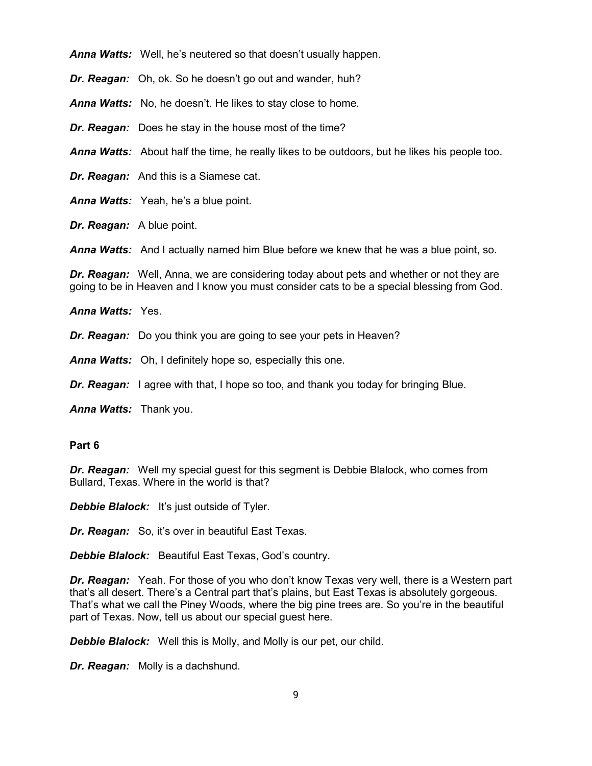*Anna Watts:* Well, he's neutered so that doesn't usually happen.

*Dr. Reagan:* Oh, ok. So he doesn't go out and wander, huh?

*Anna Watts:* No, he doesn't. He likes to stay close to home.

*Dr. Reagan:* Does he stay in the house most of the time?

*Anna Watts:* About half the time, he really likes to be outdoors, but he likes his people too.

*Dr. Reagan:* And this is a Siamese cat.

*Anna Watts:* Yeah, he's a blue point.

*Dr. Reagan:* A blue point.

*Anna Watts:* And I actually named him Blue before we knew that he was a blue point, so.

*Dr. Reagan:* Well, Anna, we are considering today about pets and whether or not they are going to be in Heaven and I know you must consider cats to be a special blessing from God.

*Anna Watts:* Yes.

*Dr. Reagan:* Do you think you are going to see your pets in Heaven?

*Anna Watts:* Oh, I definitely hope so, especially this one.

*Dr. Reagan:* I agree with that, I hope so too, and thank you today for bringing Blue.

*Anna Watts:* Thank you.

#### **Part 6**

*Dr. Reagan:* Well my special guest for this segment is Debbie Blalock, who comes from Bullard, Texas. Where in the world is that?

**Debbie Blalock:** It's just outside of Tyler.

*Dr. Reagan:* So, it's over in beautiful East Texas.

*Debbie Blalock:* Beautiful East Texas, God's country.

*Dr. Reagan:* Yeah. For those of you who don't know Texas very well, there is a Western part that's all desert. There's a Central part that's plains, but East Texas is absolutely gorgeous. That's what we call the Piney Woods, where the big pine trees are. So you're in the beautiful part of Texas. Now, tell us about our special guest here.

**Debbie Blalock:** Well this is Molly, and Molly is our pet, our child.

*Dr. Reagan:* Molly is a dachshund.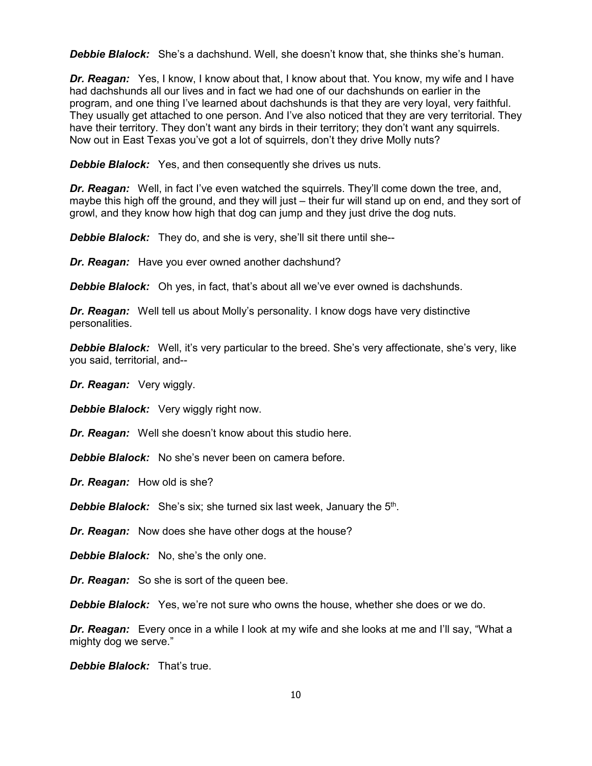*Debbie Blalock:* She's a dachshund. Well, she doesn't know that, she thinks she's human.

*Dr. Reagan:* Yes, I know, I know about that, I know about that. You know, my wife and I have had dachshunds all our lives and in fact we had one of our dachshunds on earlier in the program, and one thing I've learned about dachshunds is that they are very loyal, very faithful. They usually get attached to one person. And I've also noticed that they are very territorial. They have their territory. They don't want any birds in their territory; they don't want any squirrels. Now out in East Texas you've got a lot of squirrels, don't they drive Molly nuts?

**Debbie Blalock:** Yes, and then consequently she drives us nuts.

**Dr. Reagan:** Well, in fact I've even watched the squirrels. They'll come down the tree, and, maybe this high off the ground, and they will just – their fur will stand up on end, and they sort of growl, and they know how high that dog can jump and they just drive the dog nuts.

**Debbie Blalock:** They do, and she is very, she'll sit there until she--

*Dr. Reagan:* Have you ever owned another dachshund?

*Debbie Blalock:* Oh yes, in fact, that's about all we've ever owned is dachshunds.

*Dr. Reagan:* Well tell us about Molly's personality. I know dogs have very distinctive personalities.

*Debbie Blalock:* Well, it's very particular to the breed. She's very affectionate, she's very, like you said, territorial, and--

*Dr. Reagan:* Very wiggly.

*Debbie Blalock:* Very wiggly right now.

*Dr. Reagan:* Well she doesn't know about this studio here.

*Debbie Blalock:* No she's never been on camera before.

*Dr. Reagan:* How old is she?

**Debbie Blalock:** She's six; she turned six last week, January the 5<sup>th</sup>.

*Dr. Reagan:* Now does she have other dogs at the house?

**Debbie Blalock:** No, she's the only one.

*Dr. Reagan:* So she is sort of the queen bee.

*Debbie Blalock:* Yes, we're not sure who owns the house, whether she does or we do.

*Dr. Reagan:* Every once in a while I look at my wife and she looks at me and I'll say, "What a mighty dog we serve."

*Debbie Blalock:* That's true.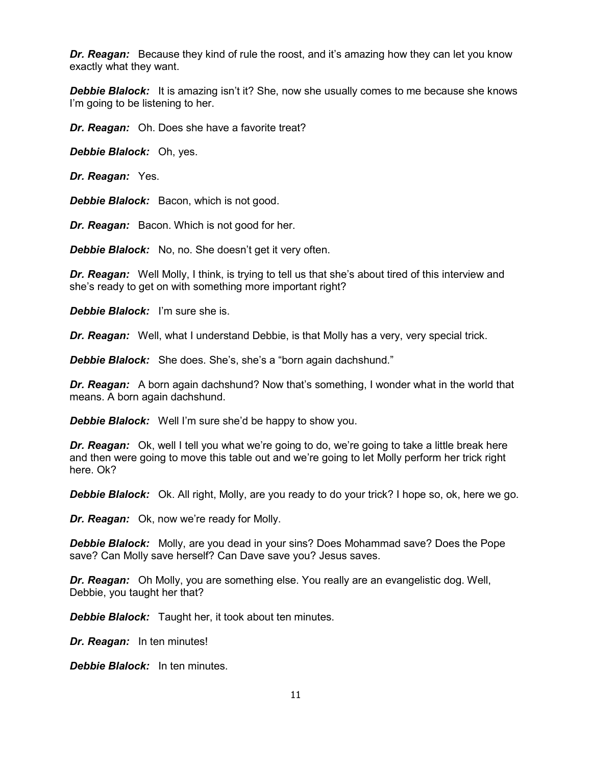*Dr. Reagan:* Because they kind of rule the roost, and it's amazing how they can let you know exactly what they want.

**Debbie Blalock:** It is amazing isn't it? She, now she usually comes to me because she knows I'm going to be listening to her.

*Dr. Reagan:* Oh. Does she have a favorite treat?

*Debbie Blalock:* Oh, yes.

*Dr. Reagan:* Yes.

**Debbie Blalock:** Bacon, which is not good.

*Dr. Reagan:* Bacon. Which is not good for her.

*Debbie Blalock:* No, no. She doesn't get it very often.

*Dr. Reagan:* Well Molly, I think, is trying to tell us that she's about tired of this interview and she's ready to get on with something more important right?

*Debbie Blalock:* I'm sure she is.

*Dr. Reagan:* Well, what I understand Debbie, is that Molly has a very, very special trick.

*Debbie Blalock:* She does. She's, she's a "born again dachshund."

*Dr. Reagan:* A born again dachshund? Now that's something, I wonder what in the world that means. A born again dachshund.

*Debbie Blalock:* Well I'm sure she'd be happy to show you.

*Dr. Reagan:* Ok, well I tell you what we're going to do, we're going to take a little break here and then were going to move this table out and we're going to let Molly perform her trick right here. Ok?

*Debbie Blalock:* Ok. All right, Molly, are you ready to do your trick? I hope so, ok, here we go.

*Dr. Reagan:* Ok, now we're ready for Molly.

*Debbie Blalock:* Molly, are you dead in your sins? Does Mohammad save? Does the Pope save? Can Molly save herself? Can Dave save you? Jesus saves.

*Dr. Reagan:* Oh Molly, you are something else. You really are an evangelistic dog. Well, Debbie, you taught her that?

*Debbie Blalock:* Taught her, it took about ten minutes.

*Dr. Reagan:* In ten minutes!

*Debbie Blalock:* In ten minutes.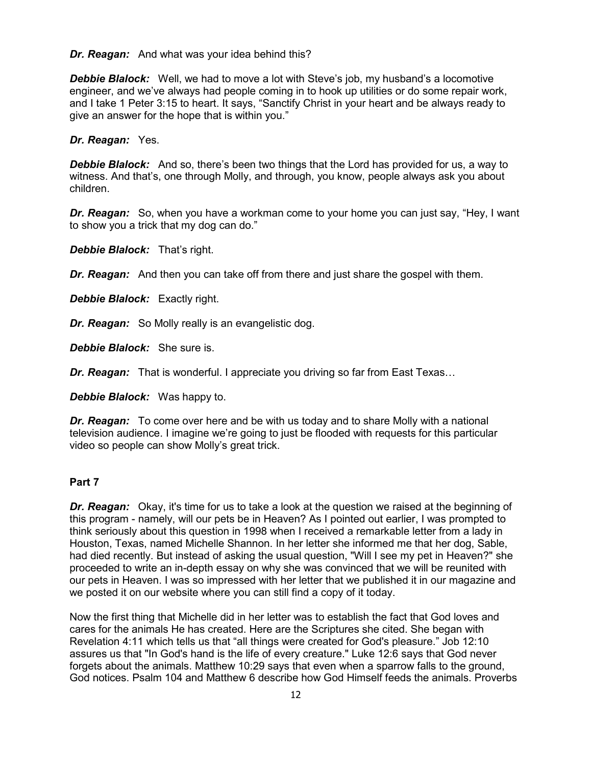*Dr. Reagan:* And what was your idea behind this?

*Debbie Blalock:* Well, we had to move a lot with Steve's job, my husband's a locomotive engineer, and we've always had people coming in to hook up utilities or do some repair work, and I take 1 Peter 3:15 to heart. It says, "Sanctify Christ in your heart and be always ready to give an answer for the hope that is within you."

#### *Dr. Reagan:* Yes.

*Debbie Blalock:* And so, there's been two things that the Lord has provided for us, a way to witness. And that's, one through Molly, and through, you know, people always ask you about children.

*Dr. Reagan:* So, when you have a workman come to your home you can just say, "Hey, I want to show you a trick that my dog can do."

*Debbie Blalock:* That's right.

*Dr. Reagan:* And then you can take off from there and just share the gospel with them.

*Debbie Blalock:* Exactly right.

*Dr. Reagan:* So Molly really is an evangelistic dog.

*Debbie Blalock:* She sure is.

*Dr. Reagan:* That is wonderful. I appreciate you driving so far from East Texas…

*Debbie Blalock:* Was happy to.

*Dr. Reagan:* To come over here and be with us today and to share Molly with a national television audience. I imagine we're going to just be flooded with requests for this particular video so people can show Molly's great trick.

# **Part 7**

*Dr. Reagan:* Okay, it's time for us to take a look at the question we raised at the beginning of this program - namely, will our pets be in Heaven? As I pointed out earlier, I was prompted to think seriously about this question in 1998 when I received a remarkable letter from a lady in Houston, Texas, named Michelle Shannon. In her letter she informed me that her dog, Sable, had died recently. But instead of asking the usual question, "Will I see my pet in Heaven?" she proceeded to write an in-depth essay on why she was convinced that we will be reunited with our pets in Heaven. I was so impressed with her letter that we published it in our magazine and we posted it on our website where you can still find a copy of it today.

Now the first thing that Michelle did in her letter was to establish the fact that God loves and cares for the animals He has created. Here are the Scriptures she cited. She began with Revelation 4:11 which tells us that "all things were created for God's pleasure." Job 12:10 assures us that "In God's hand is the life of every creature." Luke 12:6 says that God never forgets about the animals. Matthew 10:29 says that even when a sparrow falls to the ground, God notices. Psalm 104 and Matthew 6 describe how God Himself feeds the animals. Proverbs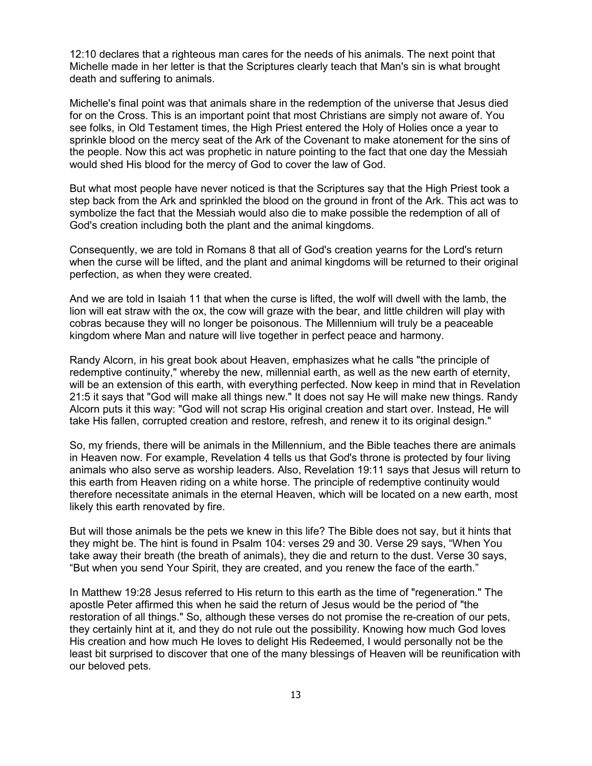12:10 declares that a righteous man cares for the needs of his animals. The next point that Michelle made in her letter is that the Scriptures clearly teach that Man's sin is what brought death and suffering to animals.

Michelle's final point was that animals share in the redemption of the universe that Jesus died for on the Cross. This is an important point that most Christians are simply not aware of. You see folks, in Old Testament times, the High Priest entered the Holy of Holies once a year to sprinkle blood on the mercy seat of the Ark of the Covenant to make atonement for the sins of the people. Now this act was prophetic in nature pointing to the fact that one day the Messiah would shed His blood for the mercy of God to cover the law of God.

But what most people have never noticed is that the Scriptures say that the High Priest took a step back from the Ark and sprinkled the blood on the ground in front of the Ark. This act was to symbolize the fact that the Messiah would also die to make possible the redemption of all of God's creation including both the plant and the animal kingdoms.

Consequently, we are told in Romans 8 that all of God's creation yearns for the Lord's return when the curse will be lifted, and the plant and animal kingdoms will be returned to their original perfection, as when they were created.

And we are told in Isaiah 11 that when the curse is lifted, the wolf will dwell with the lamb, the lion will eat straw with the ox, the cow will graze with the bear, and little children will play with cobras because they will no longer be poisonous. The Millennium will truly be a peaceable kingdom where Man and nature will live together in perfect peace and harmony.

Randy Alcorn, in his great book about Heaven, emphasizes what he calls "the principle of redemptive continuity," whereby the new, millennial earth, as well as the new earth of eternity, will be an extension of this earth, with everything perfected. Now keep in mind that in Revelation 21:5 it says that "God will make all things new." It does not say He will make new things. Randy Alcorn puts it this way: "God will not scrap His original creation and start over. Instead, He will take His fallen, corrupted creation and restore, refresh, and renew it to its original design."

So, my friends, there will be animals in the Millennium, and the Bible teaches there are animals in Heaven now. For example, Revelation 4 tells us that God's throne is protected by four living animals who also serve as worship leaders. Also, Revelation 19:11 says that Jesus will return to this earth from Heaven riding on a white horse. The principle of redemptive continuity would therefore necessitate animals in the eternal Heaven, which will be located on a new earth, most likely this earth renovated by fire.

But will those animals be the pets we knew in this life? The Bible does not say, but it hints that they might be. The hint is found in Psalm 104: verses 29 and 30. Verse 29 says, "When You take away their breath (the breath of animals), they die and return to the dust. Verse 30 says, "But when you send Your Spirit, they are created, and you renew the face of the earth."

In Matthew 19:28 Jesus referred to His return to this earth as the time of "regeneration." The apostle Peter affirmed this when he said the return of Jesus would be the period of "the restoration of all things." So, although these verses do not promise the re-creation of our pets, they certainly hint at it, and they do not rule out the possibility. Knowing how much God loves His creation and how much He loves to delight His Redeemed, I would personally not be the least bit surprised to discover that one of the many blessings of Heaven will be reunification with our beloved pets.